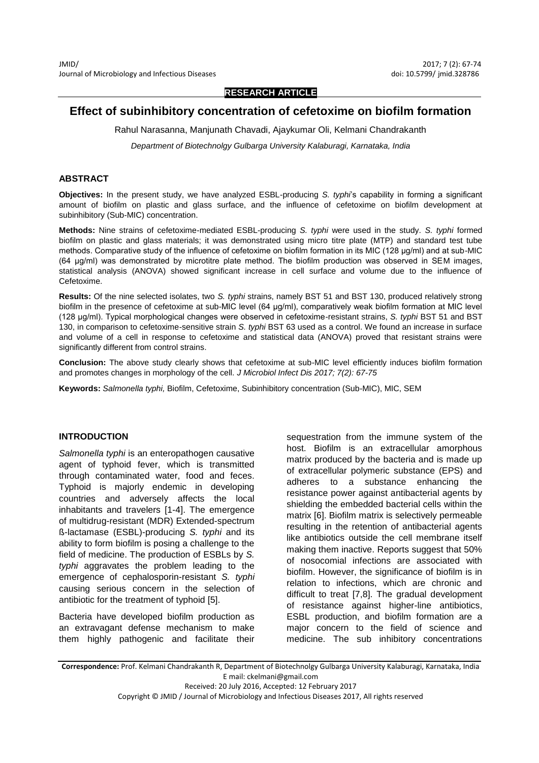**RESEARCH ARTICLE**

# **Effect of subinhibitory concentration of cefetoxime on biofilm formation**

Rahul Narasanna, Manjunath Chavadi, Ajaykumar Oli, Kelmani Chandrakanth

*Department of Biotechnolgy Gulbarga University Kalaburagi, Karnataka, India*

#### **ABSTRACT**

**Objectives:** In the present study, we have analyzed ESBL-producing *S. typhi*'s capability in forming a significant amount of biofilm on plastic and glass surface, and the influence of cefetoxime on biofilm development at subinhibitory (Sub-MIC) concentration.

**Methods:** Nine strains of cefetoxime-mediated ESBL-producing *S. typhi* were used in the study. *S. typhi* formed biofilm on plastic and glass materials; it was demonstrated using micro titre plate (MTP) and standard test tube methods. Comparative study of the influence of cefetoxime on biofilm formation in its MIC (128 µg/ml) and at sub-MIC (64 µg/ml) was demonstrated by microtitre plate method. The biofilm production was observed in SEM images, statistical analysis (ANOVA) showed significant increase in cell surface and volume due to the influence of Cefetoxime.

**Results:** Of the nine selected isolates, two *S. typhi* strains, namely BST 51 and BST 130, produced relatively strong biofilm in the presence of cefetoxime at sub-MIC level (64 µg/ml), comparatively weak biofilm formation at MIC level (128 µg/ml). Typical morphological changes were observed in cefetoxime-resistant strains, *S. typhi* BST 51 and BST 130, in comparison to cefetoxime-sensitive strain *S. typhi* BST 63 used as a control. We found an increase in surface and volume of a cell in response to cefetoxime and statistical data (ANOVA) proved that resistant strains were significantly different from control strains.

**Conclusion:** The above study clearly shows that cefetoxime at sub-MIC level efficiently induces biofilm formation and promotes changes in morphology of the cell. *J Microbiol Infect Dis 2017; 7(2): 67-75*

**Keywords:** *Salmonella typhi,* Biofilm, Cefetoxime, Subinhibitory concentration (Sub-MIC), MIC, SEM

#### **INTRODUCTION**

*Salmonella typhi* is an enteropathogen causative agent of typhoid fever, which is transmitted through contaminated water, food and feces. Typhoid is majorly endemic in developing countries and adversely affects the local inhabitants and travelers [1-4]. The emergence of multidrug-resistant (MDR) Extended-spectrum ß-lactamase (ESBL)-producing *S. typhi* and its ability to form biofilm is posing a challenge to the field of medicine. The production of ESBLs by *S. typhi* aggravates the problem leading to the emergence of cephalosporin-resistant *S. typhi* causing serious concern in the selection of antibiotic for the treatment of typhoid [5].

Bacteria have developed biofilm production as an extravagant defense mechanism to make them highly pathogenic and facilitate their

sequestration from the immune system of the host. Biofilm is an extracellular amorphous matrix produced by the bacteria and is made up of extracellular polymeric substance (EPS) and adheres to a substance enhancing the resistance power against antibacterial agents by shielding the embedded bacterial cells within the matrix [6]. Biofilm matrix is selectively permeable resulting in the retention of antibacterial agents like antibiotics outside the cell membrane itself making them inactive. Reports suggest that 50% of nosocomial infections are associated with biofilm. However, the significance of biofilm is in relation to infections, which are chronic and difficult to treat [7,8]. The gradual development of resistance against higher-line antibiotics, ESBL production, and biofilm formation are a major concern to the field of science and medicine. The sub inhibitory concentrations

**Correspondence:** Prof. Kelmani Chandrakanth R, Department of Biotechnolgy Gulbarga University Kalaburagi, Karnataka, India E mail: ckelmani@gmail.com Received: 20 July 2016, Accepted: 12 February 2017

Copyright © JMID / Journal of Microbiology and Infectious Diseases 2017, All rights reserved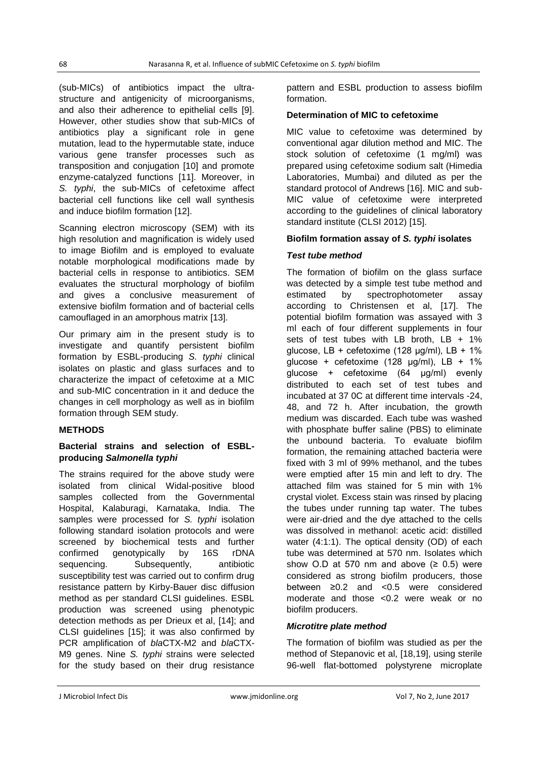(sub-MICs) of antibiotics impact the ultrastructure and antigenicity of microorganisms, and also their adherence to epithelial cells [9]. However, other studies show that sub-MICs of antibiotics play a significant role in gene mutation, lead to the hypermutable state, induce various gene transfer processes such as transposition and conjugation [10] and promote enzyme-catalyzed functions [11]. Moreover, in *S. typhi*, the sub-MICs of cefetoxime affect bacterial cell functions like cell wall synthesis and induce biofilm formation [12].

Scanning electron microscopy (SEM) with its high resolution and magnification is widely used to image Biofilm and is employed to evaluate notable morphological modifications made by bacterial cells in response to antibiotics. SEM evaluates the structural morphology of biofilm and gives a conclusive measurement of extensive biofilm formation and of bacterial cells camouflaged in an amorphous matrix [13].

Our primary aim in the present study is to investigate and quantify persistent biofilm formation by ESBL-producing *S. typhi* clinical isolates on plastic and glass surfaces and to characterize the impact of cefetoxime at a MIC and sub-MIC concentration in it and deduce the changes in cell morphology as well as in biofilm formation through SEM study.

# **METHODS**

#### **Bacterial strains and selection of ESBLproducing** *Salmonella typhi*

The strains required for the above study were isolated from clinical Widal-positive blood samples collected from the Governmental Hospital, Kalaburagi, Karnataka, India. The samples were processed for *S. typhi* isolation following standard isolation protocols and were screened by biochemical tests and further confirmed genotypically by 16S rDNA sequencing. Subsequently, antibiotic susceptibility test was carried out to confirm drug resistance pattern by Kirby-Bauer disc diffusion method as per standard CLSI guidelines. ESBL production was screened using phenotypic detection methods as per Drieux et al, [14]; and CLSI guidelines [15]; it was also confirmed by PCR amplification of *bla*CTX-M2 and *bla*CTX-M9 genes. Nine *S. typhi* strains were selected for the study based on their drug resistance

pattern and ESBL production to assess biofilm formation.

# **Determination of MIC to cefetoxime**

MIC value to cefetoxime was determined by conventional agar dilution method and MIC. The stock solution of cefetoxime (1 mg/ml) was prepared using cefetoxime sodium salt (Himedia Laboratories, Mumbai) and diluted as per the standard protocol of Andrews [16]. MIC and sub-MIC value of cefetoxime were interpreted according to the guidelines of clinical laboratory standard institute (CLSI 2012) [15].

## **Biofilm formation assay of** *S. typhi* **isolates**

## *Test tube method*

The formation of biofilm on the glass surface was detected by a simple test tube method and estimated by spectrophotometer assay according to Christensen et al, [17]. The potential biofilm formation was assayed with 3 ml each of four different supplements in four sets of test tubes with LB broth,  $LB + 1\%$ glucose, LB + cefetoxime (128  $\mu$ g/ml), LB + 1% glucose + cefetoxime (128  $\mu$ g/ml), LB + 1% glucose + cefetoxime (64 µg/ml) evenly distributed to each set of test tubes and incubated at 37 0C at different time intervals -24, 48, and 72 h. After incubation, the growth medium was discarded. Each tube was washed with phosphate buffer saline (PBS) to eliminate the unbound bacteria. To evaluate biofilm formation, the remaining attached bacteria were fixed with 3 ml of 99% methanol, and the tubes were emptied after 15 min and left to dry. The attached film was stained for 5 min with 1% crystal violet. Excess stain was rinsed by placing the tubes under running tap water. The tubes were air-dried and the dye attached to the cells was dissolved in methanol: acetic acid: distilled water (4:1:1). The optical density (OD) of each tube was determined at 570 nm. Isolates which show O.D at 570 nm and above  $(≥ 0.5)$  were considered as strong biofilm producers, those between ≥0.2 and <0.5 were considered moderate and those <0.2 were weak or no biofilm producers.

# *Microtitre plate method*

The formation of biofilm was studied as per the method of Stepanovic et al, [18,19], using sterile 96-well flat-bottomed polystyrene microplate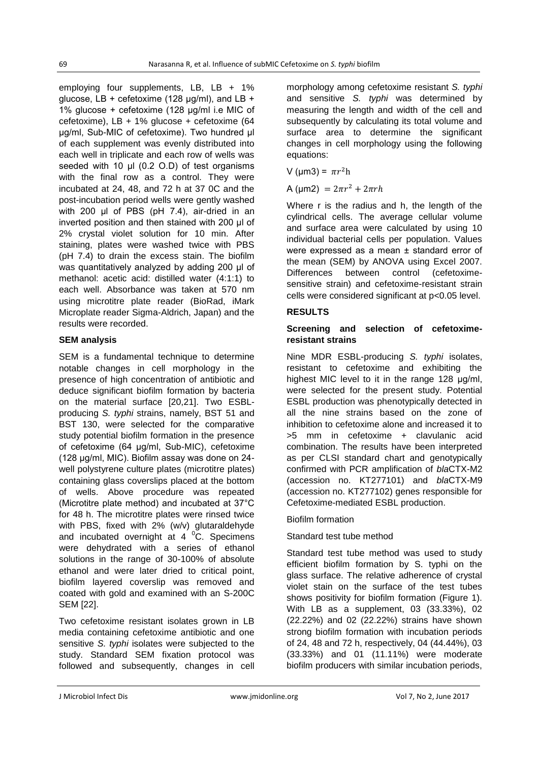employing four supplements, LB, LB + 1% glucose, LB + cefetoxime (128  $\mu$ g/ml), and LB + 1% glucose + cefetoxime (128 µg/ml i.e MIC of cefetoxime), LB + 1% glucose + cefetoxime (64 µg/ml, Sub-MIC of cefetoxime). Two hundred µl of each supplement was evenly distributed into each well in triplicate and each row of wells was seeded with 10 µl (0.2 O.D) of test organisms with the final row as a control. They were incubated at 24, 48, and 72 h at 37 0C and the post-incubation period wells were gently washed with 200 μl of PBS (pH 7.4), air-dried in an inverted position and then stained with 200 μl of 2% crystal violet solution for 10 min. After staining, plates were washed twice with PBS (pH 7.4) to drain the excess stain. The biofilm was quantitatively analyzed by adding 200 μl of methanol: acetic acid: distilled water (4:1:1) to each well. Absorbance was taken at 570 nm using microtitre plate reader (BioRad, iMark Microplate reader Sigma-Aldrich, Japan) and the results were recorded.

## **SEM analysis**

SEM is a fundamental technique to determine notable changes in cell morphology in the presence of high concentration of antibiotic and deduce significant biofilm formation by bacteria on the material surface [20,21]. Two ESBLproducing *S. typhi* strains, namely, BST 51 and BST 130, were selected for the comparative study potential biofilm formation in the presence of cefetoxime (64 µg/ml, Sub-MIC), cefetoxime (128 µg/ml, MIC). Biofilm assay was done on 24 well polystyrene culture plates (microtitre plates) containing glass coverslips placed at the bottom of wells. Above procedure was repeated (Microtitre plate method) and incubated at 37°C for 48 h. The microtitre plates were rinsed twice with PBS, fixed with 2% (w/v) glutaraldehyde and incubated overnight at  $4^{\circ}$ C. Specimens were dehydrated with a series of ethanol solutions in the range of 30-100% of absolute ethanol and were later dried to critical point, biofilm layered coverslip was removed and coated with gold and examined with an S-200C SEM [22].

Two cefetoxime resistant isolates grown in LB media containing cefetoxime antibiotic and one sensitive *S. typhi* isolates were subjected to the study. Standard SEM fixation protocol was followed and subsequently, changes in cell morphology among cefetoxime resistant *S. typhi* and sensitive *S. typhi* was determined by measuring the length and width of the cell and subsequently by calculating its total volume and surface area to determine the significant changes in cell morphology using the following equations:

V (µm3) =  $\pi r^2$ h

A ( $\mu$ m2) =  $2\pi r^2 + 2\pi rh$ 

Where r is the radius and h, the length of the cylindrical cells. The average cellular volume and surface area were calculated by using 10 individual bacterial cells per population. Values were expressed as a mean ± standard error of the mean (SEM) by ANOVA using Excel 2007. Differences between control (cefetoximesensitive strain) and cefetoxime-resistant strain cells were considered significant at p<0.05 level.

## **RESULTS**

#### **Screening and selection of cefetoximeresistant strains**

Nine MDR ESBL-producing *S. typhi* isolates, resistant to cefetoxime and exhibiting the highest MIC level to it in the range 128 µg/ml, were selected for the present study. Potential ESBL production was phenotypically detected in all the nine strains based on the zone of inhibition to cefetoxime alone and increased it to >5 mm in cefetoxime + clavulanic acid combination. The results have been interpreted as per CLSI standard chart and genotypically confirmed with PCR amplification of *bla*CTX-M2 (accession no. KT277101) and *bla*CTX-M9 (accession no. KT277102) genes responsible for Cefetoxime-mediated ESBL production.

#### Biofilm formation

#### Standard test tube method

Standard test tube method was used to study efficient biofilm formation by S. typhi on the glass surface. The relative adherence of crystal violet stain on the surface of the test tubes shows positivity for biofilm formation (Figure 1). With LB as a supplement, 03 (33.33%), 02 (22.22%) and 02 (22.22%) strains have shown strong biofilm formation with incubation periods of 24, 48 and 72 h, respectively, 04 (44.44%), 03 (33.33%) and 01 (11.11%) were moderate biofilm producers with similar incubation periods,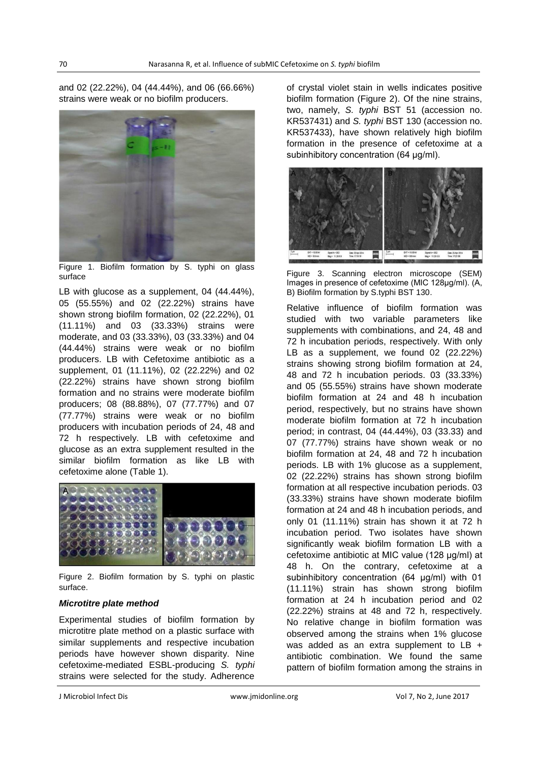and 02 (22.22%), 04 (44.44%), and 06 (66.66%) strains were weak or no biofilm producers.



Figure 1. Biofilm formation by S. typhi on glass surface

LB with glucose as a supplement, 04 (44.44%), 05 (55.55%) and 02 (22.22%) strains have shown strong biofilm formation, 02 (22.22%), 01 (11.11%) and 03 (33.33%) strains were moderate, and 03 (33.33%), 03 (33.33%) and 04 (44.44%) strains were weak or no biofilm producers. LB with Cefetoxime antibiotic as a supplement, 01 (11.11%), 02 (22.22%) and 02 (22.22%) strains have shown strong biofilm formation and no strains were moderate biofilm producers; 08 (88.88%), 07 (77.77%) and 07 (77.77%) strains were weak or no biofilm producers with incubation periods of 24, 48 and 72 h respectively. LB with cefetoxime and glucose as an extra supplement resulted in the similar biofilm formation as like LB with cefetoxime alone (Table 1).



Figure 2. Biofilm formation by S. typhi on plastic surface.

#### *Microtitre plate method*

Experimental studies of biofilm formation by microtitre plate method on a plastic surface with similar supplements and respective incubation periods have however shown disparity. Nine cefetoxime-mediated ESBL-producing *S. typhi* strains were selected for the study. Adherence

of crystal violet stain in wells indicates positive biofilm formation (Figure 2). Of the nine strains, two, namely, *S. typhi* BST 51 (accession no. KR537431) and *S. typhi* BST 130 (accession no. KR537433), have shown relatively high biofilm formation in the presence of cefetoxime at a subinhibitory concentration (64 µg/ml).



Figure 3. Scanning electron microscope (SEM) Images in presence of cefetoxime (MIC 128µg/ml). (A, B) Biofilm formation by S.typhi BST 130.

Relative influence of biofilm formation was studied with two variable parameters like supplements with combinations, and 24, 48 and 72 h incubation periods, respectively. With only LB as a supplement, we found 02 (22.22%) strains showing strong biofilm formation at 24, 48 and 72 h incubation periods. 03 (33.33%) and 05 (55.55%) strains have shown moderate biofilm formation at 24 and 48 h incubation period, respectively, but no strains have shown moderate biofilm formation at 72 h incubation period; in contrast, 04 (44.44%), 03 (33.33) and 07 (77.77%) strains have shown weak or no biofilm formation at 24, 48 and 72 h incubation periods. LB with 1% glucose as a supplement, 02 (22.22%) strains has shown strong biofilm formation at all respective incubation periods. 03 (33.33%) strains have shown moderate biofilm formation at 24 and 48 h incubation periods, and only 01 (11.11%) strain has shown it at 72 h incubation period. Two isolates have shown significantly weak biofilm formation LB with a cefetoxime antibiotic at MIC value (128 µg/ml) at 48 h. On the contrary, cefetoxime at a subinhibitory concentration (64 µg/ml) with 01 (11.11%) strain has shown strong biofilm formation at 24 h incubation period and 02 (22.22%) strains at 48 and 72 h, respectively. No relative change in biofilm formation was observed among the strains when 1% glucose was added as an extra supplement to LB + antibiotic combination. We found the same pattern of biofilm formation among the strains in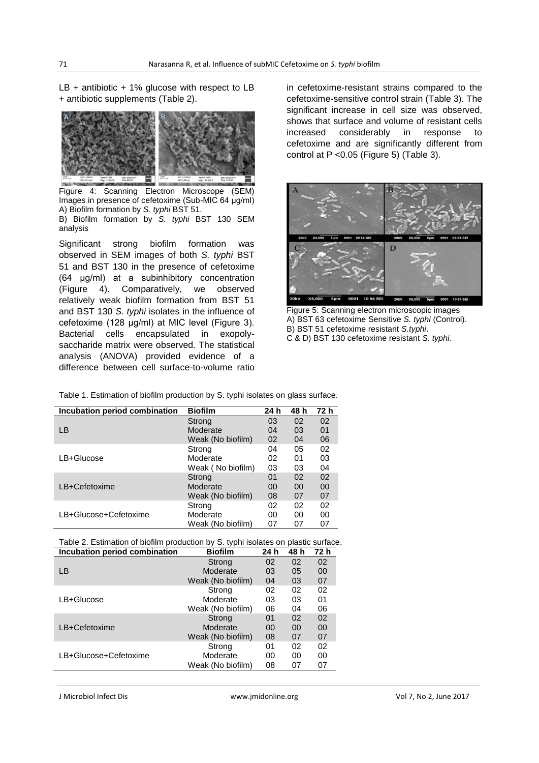$LB + antibiotic + 1%$  glucose with respect to  $LB$ + antibiotic supplements (Table 2).



Figure 4: Scanning Electron Microscope (SEM) Images in presence of cefetoxime (Sub-MIC 64 µg/ml) A) Biofilm formation by *S. typhi* BST 51. B) Biofilm formation by *S. typhi* BST 130 SEM analysis

Significant strong biofilm formation was observed in SEM images of both *S. typhi* BST 51 and BST 130 in the presence of cefetoxime (64 µg/ml) at a subinhibitory concentration (Figure 4). Comparatively, we observed relatively weak biofilm formation from BST 51 and BST 130 *S. typhi* isolates in the influence of cefetoxime (128 µg/ml) at MIC level (Figure 3). Bacterial cells encapsulated in exopolysaccharide matrix were observed. The statistical analysis (ANOVA) provided evidence of a difference between cell surface-to-volume ratio

in cefetoxime-resistant strains compared to the cefetoxime-sensitive control strain (Table 3). The significant increase in cell size was observed, shows that surface and volume of resistant cells increased considerably in response to cefetoxime and are significantly different from control at P <0.05 (Figure 5) (Table 3).



Figure 5: Scanning electron microscopic images A) BST 63 cefetoxime Sensitive *S. typhi* (Control). B) BST 51 cefetoxime resistant *S.typhi*. C & D) BST 130 cefetoxime resistant *S. typhi.*

| Incubation period combination | <b>Biofilm</b>    | 24 h | 48 h | - 72 h |
|-------------------------------|-------------------|------|------|--------|
|                               | Strong            | 03   | 02   | 02     |
| <b>LB</b>                     | Moderate          | 04   | 03   | 01     |
|                               | Weak (No biofilm) | 02   | 04   | 06     |
|                               | Strong            | 04   | 05   | 02     |

Table 1. Estimation of biofilm production by S. typhi isolates on glass surface.

|                       | <b><i>IVECIA (IVE DIVIIIIII)</i></b> | ◡▵ | ◡┭ | vv |
|-----------------------|--------------------------------------|----|----|----|
|                       | Strong                               | 04 | 05 | 02 |
| LB+Glucose            | Moderate                             | 02 | 01 | 03 |
|                       | Weak (No biofilm)                    | 03 | 03 | 04 |
|                       | Strong                               | 01 | 02 | 02 |
| LB+Cefetoxime         | Moderate                             | 00 | 00 | 00 |
|                       | Weak (No biofilm)                    | 08 | 07 | 07 |
|                       | Strong                               | 02 | 02 | 02 |
| LB+Glucose+Cefetoxime | Moderate                             | 00 | 00 | 00 |
|                       | Weak (No biofilm)                    | 07 | 07 | 07 |
|                       |                                      |    |    |    |

|  |  |  | Table 2. Estimation of biofilm production by S. typhi isolates on plastic surface. |  |  |
|--|--|--|------------------------------------------------------------------------------------|--|--|
|  |  |  |                                                                                    |  |  |

| Incubation period combination | <b>Biofilm</b>    | 24 h | 48 h | 72 h |
|-------------------------------|-------------------|------|------|------|
|                               | Strong            | 02   | 02   | 02   |
| LВ                            | Moderate          | 03   | 05   | 00   |
|                               | Weak (No biofilm) | 04   | 03   | 07   |
|                               | Strong            | 02   | 02   | 02   |
| LB+Glucose                    | Moderate          | 03   | 03   | 01   |
|                               | Weak (No biofilm) | 06   | 04   | 06   |
|                               | Strong            | 01   | 02   | 02   |
| LB+Cefetoxime                 | Moderate          | 00   | 00   | 00   |
|                               | Weak (No biofilm) | 08   | 07   | 07   |
|                               | Strong            | 01   | 02   | 02   |
| LB+Glucose+Cefetoxime         | Moderate          | 00   | 00   | 00   |
|                               | Weak (No biofilm) | 08   | 07   | 07   |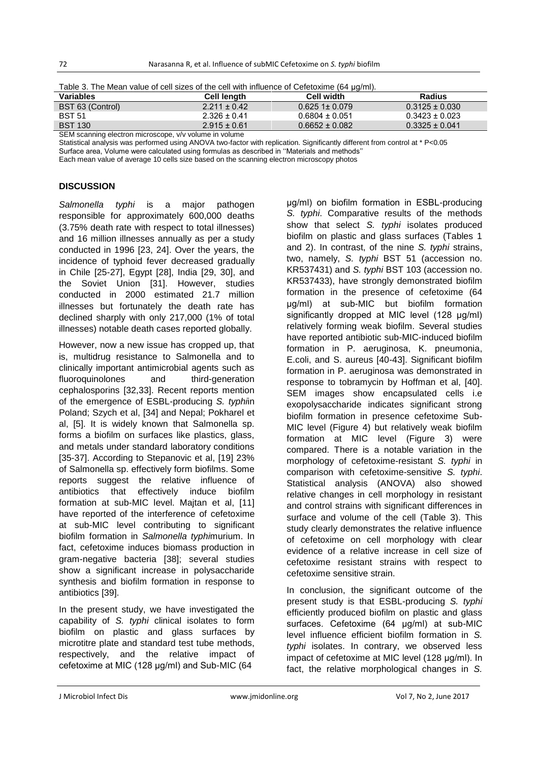| Table 3. The Mean value of cell sizes of the cell with influence of Cefetoxime (64 µg/ml). |  |
|--------------------------------------------------------------------------------------------|--|
|--------------------------------------------------------------------------------------------|--|

| $\frac{1}{2}$                                         |                  |                    |                    |  |  |  |
|-------------------------------------------------------|------------------|--------------------|--------------------|--|--|--|
| <b>Variables</b>                                      | Cell length      | Cell width         | Radius             |  |  |  |
| BST 63 (Control)                                      | $2.211 \pm 0.42$ | $0.6251 \pm 0.079$ | $0.3125 \pm 0.030$ |  |  |  |
| <b>BST 51</b>                                         | $2.326 + 0.41$   | $0.6804 \pm 0.051$ | $0.3423 \pm 0.023$ |  |  |  |
| <b>BST 130</b>                                        | $2.915 \pm 0.61$ | $0.6652 \pm 0.082$ | $0.3325 \pm 0.041$ |  |  |  |
| CEM conning electron microscope, uhu volume in volume |                  |                    |                    |  |  |  |

SEM scanning electron microscope, v/v volume in volume

Statistical analysis was performed using ANOVA two-factor with replication. Significantly different from control at \* P<0.05

Surface area, Volume were calculated using formulas as described in ''Materials and methods'' Each mean value of average 10 cells size based on the scanning electron microscopy photos

# **DISCUSSION**

*Salmonella typhi* is a major pathogen responsible for approximately 600,000 deaths (3.75% death rate with respect to total illnesses) and 16 million illnesses annually as per a study conducted in 1996 [23, 24]. Over the years, the incidence of typhoid fever decreased gradually in Chile [25-27], Egypt [28], India [29, 30], and the Soviet Union [31]. However, studies conducted in 2000 estimated 21.7 million illnesses but fortunately the death rate has declined sharply with only 217,000 (1% of total illnesses) notable death cases reported globally.

However, now a new issue has cropped up, that is, multidrug resistance to Salmonella and to clinically important antimicrobial agents such as fluoroquinolones and third-generation cephalosporins [32,33]. Recent reports mention of the emergence of ESBL-producing *S. typhi*in Poland; Szych et al, [34] and Nepal; Pokharel et al, [5]. It is widely known that Salmonella sp. forms a biofilm on surfaces like plastics, glass, and metals under standard laboratory conditions [35-37]. According to Stepanovic et al, [19] 23% of Salmonella sp. effectively form biofilms. Some reports suggest the relative influence of antibiotics that effectively induce biofilm formation at sub-MIC level. Majtan et al, [11] have reported of the interference of cefetoxime at sub-MIC level contributing to significant biofilm formation in *Salmonella typhi*murium. In fact, cefetoxime induces biomass production in gram-negative bacteria [38]; several studies show a significant increase in polysaccharide synthesis and biofilm formation in response to antibiotics [39].

In the present study, we have investigated the capability of *S. typhi* clinical isolates to form biofilm on plastic and glass surfaces by microtitre plate and standard test tube methods, respectively, and the relative impact of cefetoxime at MIC (128 µg/ml) and Sub-MIC (64

µg/ml) on biofilm formation in ESBL-producing *S. typhi*. Comparative results of the methods show that select *S. typhi* isolates produced biofilm on plastic and glass surfaces (Tables 1 and 2). In contrast, of the nine *S. typhi* strains, two, namely, *S. typhi* BST 51 (accession no. KR537431) and *S. typhi* BST 103 (accession no. KR537433), have strongly demonstrated biofilm formation in the presence of cefetoxime (64 µg/ml) at sub-MIC but biofilm formation significantly dropped at MIC level (128 µg/ml) relatively forming weak biofilm. Several studies have reported antibiotic sub-MIC-induced biofilm formation in P. aeruginosa, K. pneumonia, E.coli, and S. aureus [40-43]. Significant biofilm formation in P. aeruginosa was demonstrated in response to tobramycin by Hoffman et al, [40]. SEM images show encapsulated cells i.e exopolysaccharide indicates significant strong biofilm formation in presence cefetoxime Sub-MIC level (Figure 4) but relatively weak biofilm formation at MIC level (Figure 3) were compared. There is a notable variation in the morphology of cefetoxime-resistant *S. typhi* in comparison with cefetoxime-sensitive *S. typhi*. Statistical analysis (ANOVA) also showed relative changes in cell morphology in resistant and control strains with significant differences in surface and volume of the cell (Table 3). This study clearly demonstrates the relative influence of cefetoxime on cell morphology with clear evidence of a relative increase in cell size of cefetoxime resistant strains with respect to cefetoxime sensitive strain.

In conclusion, the significant outcome of the present study is that ESBL-producing *S. typhi* efficiently produced biofilm on plastic and glass surfaces. Cefetoxime (64 µg/ml) at sub-MIC level influence efficient biofilm formation in *S. typhi* isolates. In contrary, we observed less impact of cefetoxime at MIC level (128 µg/ml). In fact, the relative morphological changes in *S.*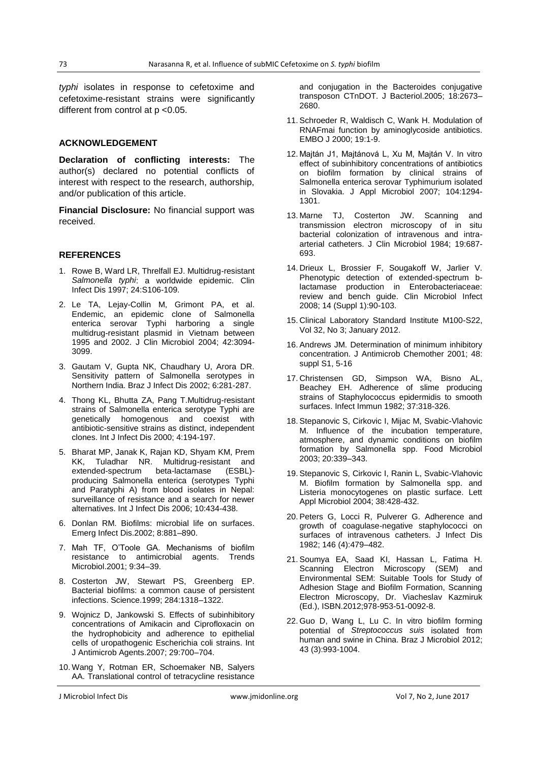*typhi* isolates in response to cefetoxime and cefetoxime-resistant strains were significantly different from control at p <0.05.

#### **ACKNOWLEDGEMENT**

**Declaration of conflicting interests:** The author(s) declared no potential conflicts of interest with respect to the research, authorship, and/or publication of this article.

**Financial Disclosure:** No financial support was received.

#### **REFERENCES**

- 1. Rowe B, Ward LR, Threlfall EJ. Multidrug-resistant *Salmonella typhi*: a worldwide epidemic. Clin Infect Dis 1997; 24:S106-109.
- 2. Le TA, Lejay-Collin M, Grimont PA, et al. Endemic, an epidemic clone of Salmonella enterica serovar Typhi harboring a single multidrug-resistant plasmid in Vietnam between 1995 and 2002. J Clin Microbiol 2004; 42:3094- 3099.
- 3. Gautam V, Gupta NK, Chaudhary U, Arora DR. Sensitivity pattern of Salmonella serotypes in Northern India. Braz J Infect Dis 2002; 6:281-287.
- 4. Thong KL, Bhutta ZA, Pang T.Multidrug-resistant strains of Salmonella enterica serotype Typhi are genetically homogenous and coexist with antibiotic-sensitive strains as distinct, independent clones. Int J Infect Dis 2000; 4:194-197.
- 5. Bharat MP, Janak K, Rajan KD, Shyam KM, Prem KK, Tuladhar NR. Multidrug-resistant and<br>extended-spectrum beta-lactamase (ESBL)extended-spectrum beta-lactamase producing Salmonella enterica (serotypes Typhi and Paratyphi A) from blood isolates in Nepal: surveillance of resistance and a search for newer alternatives. Int J Infect Dis 2006; 10:434-438.
- 6. Donlan RM. Biofilms: microbial life on surfaces. Emerg Infect Dis.2002; 8:881–890.
- 7. Mah TF, O'Toole GA. Mechanisms of biofilm resistance to antimicrobial agents. Trends Microbiol.2001; 9:34–39.
- 8. Costerton JW, Stewart PS, Greenberg EP. Bacterial biofilms: a common cause of persistent infections. Science.1999; 284:1318–1322.
- 9. Wojnicz D, Jankowski S. Effects of subinhibitory concentrations of Amikacin and Ciprofloxacin on the hydrophobicity and adherence to epithelial cells of uropathogenic Escherichia coli strains. Int J Antimicrob Agents.2007; 29:700–704.
- 10. Wang Y, Rotman ER, Schoemaker NB, Salyers AA. Translational control of tetracycline resistance

and conjugation in the Bacteroides conjugative transposon CTnDOT. J Bacteriol.2005; 18:2673– 2680.

- 11. Schroeder R, Waldisch C, Wank H. Modulation of RNAFmai function by aminoglycoside antibiotics. EMBO J 2000; 19:1-9.
- 12. Majtán J1, Majtánová L, Xu M, Majtán V. In vitro effect of subinhibitory concentrations of antibiotics on biofilm formation by clinical strains of Salmonella enterica serovar Typhimurium isolated in Slovakia. J Appl Microbiol 2007; 104:1294- 1301.
- 13. Marne TJ, Costerton JW. Scanning and transmission electron microscopy of in situ bacterial colonization of intravenous and intraarterial catheters. J Clin Microbiol 1984; 19:687- 693.
- 14. Drieux L, Brossier F, Sougakoff W, Jarlier V. Phenotypic detection of extended-spectrum blactamase production in Enterobacteriaceae: review and bench guide. Clin Microbiol Infect 2008; 14 (Suppl 1):90-103.
- 15. Clinical Laboratory Standard Institute M100-S22, Vol 32, No 3; January 2012.
- 16. Andrews JM. Determination of minimum inhibitory concentration. J Antimicrob Chemother 2001; 48: suppl S1, 5-16
- 17. Christensen GD, Simpson WA, Bisno AL, Beachey EH. Adherence of slime producing strains of Staphylococcus epidermidis to smooth surfaces. Infect Immun 1982; 37:318-326.
- 18. Stepanovic S, Cirkovic I, Mijac M, Svabic-Vlahovic M. Influence of the incubation temperature, atmosphere, and dynamic conditions on biofilm formation by Salmonella spp. Food Microbiol 2003; 20:339–343.
- 19. Stepanovic S, Cirkovic I, Ranin L, Svabic-Vlahovic M. Biofilm formation by Salmonella spp. and Listeria monocytogenes on plastic surface. Lett Appl Microbiol 2004; 38:428-432.
- 20. Peters G, Locci R, Pulverer G. Adherence and growth of coagulase-negative staphylococci on surfaces of intravenous catheters. J Infect Dis 1982; 146 (4):479–482.
- 21. Soumya EA, Saad KI, Hassan L, Fatima H. Scanning Electron Microscopy (SEM) and Environmental SEM: Suitable Tools for Study of Adhesion Stage and Biofilm Formation, Scanning Electron Microscopy, Dr. Viacheslav Kazmiruk (Ed.), ISBN.2012;978-953-51-0092-8.
- 22. Guo D, Wang L, Lu C. In vitro biofilm forming potential of *Streptococcus suis* isolated from human and swine in China. Braz J Microbiol 2012; 43 (3):993-1004.